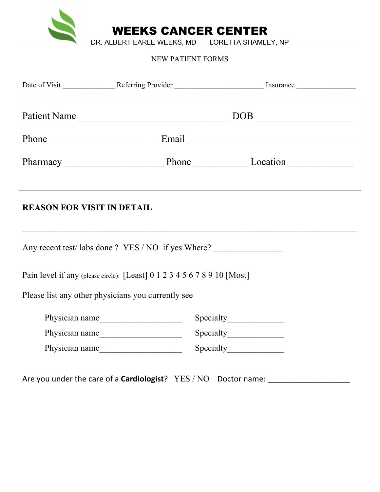

WEEKS CANCER CENTER

DR. ALBERT EARLE WEEKS, MD LORETTA SHAMLEY, NP

#### NEW PATIENT FORMS

|                                                     | Patient Name                                                             | $\boxed{\text{DOB}}$ |  |  |  |
|-----------------------------------------------------|--------------------------------------------------------------------------|----------------------|--|--|--|
|                                                     |                                                                          |                      |  |  |  |
|                                                     |                                                                          |                      |  |  |  |
| <b>REASON FOR VISIT IN DETAIL</b>                   |                                                                          |                      |  |  |  |
| Any recent test/ labs done ? YES / NO if yes Where? |                                                                          |                      |  |  |  |
|                                                     | Pain level if any (please circle): [Least] 0 1 2 3 4 5 6 7 8 9 10 [Most] |                      |  |  |  |
| Please list any other physicians you currently see  |                                                                          |                      |  |  |  |
|                                                     | Physician name                                                           |                      |  |  |  |
|                                                     | Physician name                                                           |                      |  |  |  |
|                                                     | Physician name                                                           |                      |  |  |  |
|                                                     |                                                                          |                      |  |  |  |

Are you under the care of a **Cardiologist**? YES / NO Doctor name: \_\_\_\_\_\_\_\_\_\_\_\_\_\_\_\_\_\_\_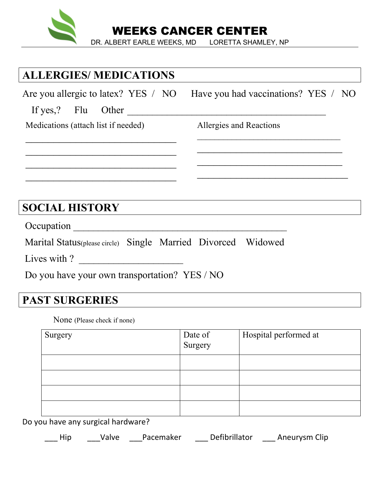

## **ALLERGIES/ MEDICATIONS**

 $\mathcal{L}_\text{max}$ 

 $\mathcal{L}_\text{max}$  , where  $\mathcal{L}_\text{max}$  , we have the set of  $\mathcal{L}_\text{max}$ 

Are you allergic to latex? YES / NO Have you had vaccinations? YES / NO

If yes,? Flu Other

Medications (attach list if needed)

Allergies and Reactions

 $\mathcal{L}_\text{max}$  , where  $\mathcal{L}_\text{max}$  , we have the set of  $\mathcal{L}_\text{max}$ 

 $\mathcal{L}_\text{max}$  , where  $\mathcal{L}_\text{max}$  , we have the set of the set of the set of the set of the set of the set of the set of the set of the set of the set of the set of the set of the set of the set of the set of the set of

## **SOCIAL HISTORY**

Occupation \_\_\_\_\_\_\_\_\_\_\_\_\_\_\_\_\_\_\_\_\_\_\_\_\_\_\_\_\_\_\_\_\_\_\_\_\_\_\_\_\_\_\_

Marital Status(please circle) Single Married Divorced Widowed

Lives with ?  $\qquad \qquad$ 

Do you have your own transportation? YES / NO

## **PAST SURGERIES**

None (Please check if none)

| Surgery | Date of<br>Surgery | Hospital performed at |
|---------|--------------------|-----------------------|
|         |                    |                       |
|         |                    |                       |
|         |                    |                       |
|         |                    |                       |

Do you have any surgical hardware?

Hip Valve Pacemaker Defibrillator Aneurysm Clip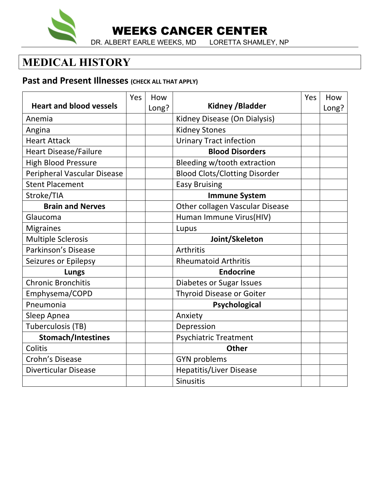

WEEKS CANCER CENTER

DR. ALBERT EARLE WEEKS, MD LORETTA SHAMLEY, NP

## **MEDICAL HISTORY**

### **Past and Present Illnesses** (CHECK ALL THAT APPLY)

|                                    | Yes | How   |                                      | Yes | How   |
|------------------------------------|-----|-------|--------------------------------------|-----|-------|
| <b>Heart and blood vessels</b>     |     | Long? | <b>Kidney /Bladder</b>               |     | Long? |
| Anemia                             |     |       | Kidney Disease (On Dialysis)         |     |       |
| Angina                             |     |       | <b>Kidney Stones</b>                 |     |       |
| <b>Heart Attack</b>                |     |       | <b>Urinary Tract infection</b>       |     |       |
| <b>Heart Disease/Failure</b>       |     |       | <b>Blood Disorders</b>               |     |       |
| <b>High Blood Pressure</b>         |     |       | Bleeding w/tooth extraction          |     |       |
| <b>Peripheral Vascular Disease</b> |     |       | <b>Blood Clots/Clotting Disorder</b> |     |       |
| <b>Stent Placement</b>             |     |       | <b>Easy Bruising</b>                 |     |       |
| Stroke/TIA                         |     |       | <b>Immune System</b>                 |     |       |
| <b>Brain and Nerves</b>            |     |       | Other collagen Vascular Disease      |     |       |
| Glaucoma                           |     |       | Human Immune Virus(HIV)              |     |       |
| <b>Migraines</b>                   |     |       | Lupus                                |     |       |
| <b>Multiple Sclerosis</b>          |     |       | Joint/Skeleton                       |     |       |
| Parkinson's Disease                |     |       | Arthritis                            |     |       |
| Seizures or Epilepsy               |     |       | <b>Rheumatoid Arthritis</b>          |     |       |
| <b>Lungs</b>                       |     |       | <b>Endocrine</b>                     |     |       |
| <b>Chronic Bronchitis</b>          |     |       | Diabetes or Sugar Issues             |     |       |
| Emphysema/COPD                     |     |       | <b>Thyroid Disease or Goiter</b>     |     |       |
| Pneumonia                          |     |       | Psychological                        |     |       |
| Sleep Apnea                        |     |       | Anxiety                              |     |       |
| Tuberculosis (TB)                  |     |       | Depression                           |     |       |
| <b>Stomach/Intestines</b>          |     |       | <b>Psychiatric Treatment</b>         |     |       |
| Colitis                            |     |       | <b>Other</b>                         |     |       |
| Crohn's Disease                    |     |       | <b>GYN problems</b>                  |     |       |
| <b>Diverticular Disease</b>        |     |       | <b>Hepatitis/Liver Disease</b>       |     |       |
|                                    |     |       | <b>Sinusitis</b>                     |     |       |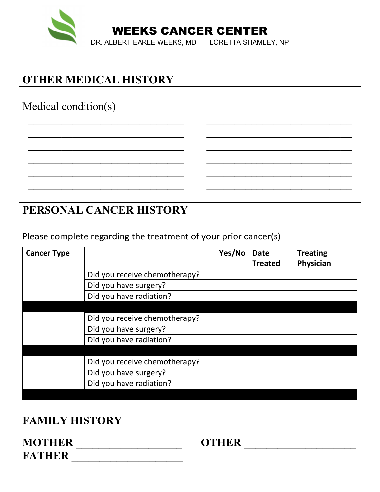

# **OTHER MEDICAL HISTORY**

# Medical condition(s)

## **PERSONAL CANCER HISTORY**

Please complete regarding the treatment of your prior cancer(s)

| <b>Cancer Type</b> |                               | Yes/No | <b>Date</b><br><b>Treated</b> | <b>Treating</b><br>Physician |
|--------------------|-------------------------------|--------|-------------------------------|------------------------------|
|                    | Did you receive chemotherapy? |        |                               |                              |
|                    | Did you have surgery?         |        |                               |                              |
|                    | Did you have radiation?       |        |                               |                              |
|                    |                               |        |                               |                              |
|                    | Did you receive chemotherapy? |        |                               |                              |
|                    | Did you have surgery?         |        |                               |                              |
|                    | Did you have radiation?       |        |                               |                              |
|                    |                               |        |                               |                              |
|                    | Did you receive chemotherapy? |        |                               |                              |
|                    | Did you have surgery?         |        |                               |                              |
|                    | Did you have radiation?       |        |                               |                              |
|                    |                               |        |                               |                              |

 $\mathcal{L}_\text{max}$  , and the contract of the contract of the contract of the contract of the contract of the contract of the contract of the contract of the contract of the contract of the contract of the contract of the contr

 $\mathcal{L}_\text{max}$  , and the contract of the contract of the contract of the contract of the contract of the contract of the contract of the contract of the contract of the contract of the contract of the contract of the contr

 $\mathcal{L}_\text{max}$  , and the contract of the contract of the contract of the contract of the contract of the contract of the contract of the contract of the contract of the contract of the contract of the contract of the contr

### **FAMILY HISTORY**

### **MOTHER \_\_\_\_\_\_\_\_\_\_\_\_\_\_\_\_\_\_\_ OTHER \_\_\_\_\_\_\_\_\_\_\_\_\_\_\_\_\_\_\_\_** FATHER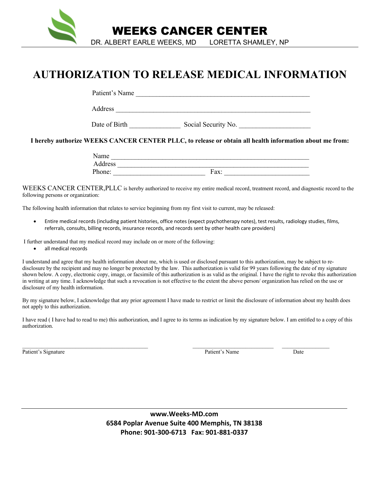

## **AUTHORIZATION TO RELEASE MEDICAL INFORMATION**

Patient's Name

Address **and a set of the set of the set of the set of the set of the set of the set of the set of the set of the set of the set of the set of the set of the set of the set of the set of the set of the set of the set of th** 

Date of Birth Social Security No.

**I hereby authorize WEEKS CANCER CENTER PLLC, to release or obtain all health information about me from:**

| ame                   |      |
|-----------------------|------|
| ddress                |      |
| $\mathbf{D}$<br>hone: | Fax: |

WEEKS CANCER CENTER,PLLC is hereby authorized to receive my entire medical record, treatment record, and diagnostic record to the following persons or organization:

The following health information that relates to service beginning from my first visit to current, may be released:

• Entire medical records (including patient histories, office notes (expect psychotherapy notes), test results, radiology studies, films, referrals, consults, billing records, insurance records, and records sent by other health care providers)

I further understand that my medical record may include on or more of the following:

all medical records

I understand and agree that my health information about me, which is used or disclosed pursuant to this authorization, may be subject to redisclosure by the recipient and may no longer be protected by the law. This authorization is valid for 99 years following the date of my signature shown below. A copy, electronic copy, image, or facsimile of this authorization is as valid as the original. I have the right to revoke this authorization in writing at any time. I acknowledge that such a revocation is not effective to the extent the above person/ organization has relied on the use or disclosure of my health information.

By my signature below, I acknowledge that any prior agreement I have made to restrict or limit the disclosure of information about my health does not apply to this authorization.

I have read ( I have had to read to me) this authorization, and I agree to its terms as indication by my signature below. I am entitled to a copy of this authorization.

 $\mathcal{L}_\mathcal{L} = \mathcal{L}_\mathcal{L}$ 

Patient's Signature Date Date Patient's Name Date Date Patient's Name Date

**www.Weeks-MD.com 6584 Poplar Avenue Suite 400 Memphis, TN 38138 Phone: 901-300-6713 Fax: 901-881-0337**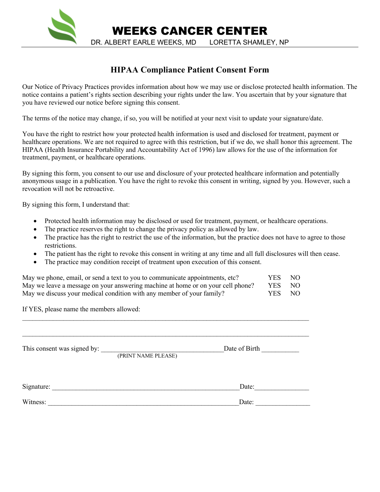

#### **HIPAA Compliance Patient Consent Form**

Our Notice of Privacy Practices provides information about how we may use or disclose protected health information. The notice contains a patient's rights section describing your rights under the law. You ascertain that by your signature that you have reviewed our notice before signing this consent.

The terms of the notice may change, if so, you will be notified at your next visit to update your signature/date.

You have the right to restrict how your protected health information is used and disclosed for treatment, payment or healthcare operations. We are not required to agree with this restriction, but if we do, we shall honor this agreement. The HIPAA (Health Insurance Portability and Accountability Act of 1996) law allows for the use of the information for treatment, payment, or healthcare operations.

By signing this form, you consent to our use and disclosure of your protected healthcare information and potentially anonymous usage in a publication. You have the right to revoke this consent in writing, signed by you. However, such a revocation will not be retroactive.

By signing this form, I understand that:

- Protected health information may be disclosed or used for treatment, payment, or healthcare operations.
- The practice reserves the right to change the privacy policy as allowed by law.
- The practice has the right to restrict the use of the information, but the practice does not have to agree to those restrictions.
- The patient has the right to revoke this consent in writing at any time and all full disclosures will then cease.
- The practice may condition receipt of treatment upon execution of this consent.

| May we phone, email, or send a text to you to communicate appointments, etc?    | YES -  | NO |
|---------------------------------------------------------------------------------|--------|----|
| May we leave a message on your answering machine at home or on your cell phone? | YES NO |    |
| May we discuss your medical condition with any member of your family?           | YES NO |    |

If YES, please name the members allowed:

This consent was signed by: \_\_\_\_\_\_\_\_\_\_\_\_\_\_\_\_\_\_\_\_\_\_\_\_\_\_\_\_\_\_\_\_\_\_\_\_Date of Birth \_\_\_\_\_\_\_\_\_\_\_ (PRINT NAME PLEASE)

 $\mathcal{L}_\mathcal{L} = \{ \mathcal{L}_\mathcal{L} = \{ \mathcal{L}_\mathcal{L} = \{ \mathcal{L}_\mathcal{L} = \{ \mathcal{L}_\mathcal{L} = \{ \mathcal{L}_\mathcal{L} = \{ \mathcal{L}_\mathcal{L} = \{ \mathcal{L}_\mathcal{L} = \{ \mathcal{L}_\mathcal{L} = \{ \mathcal{L}_\mathcal{L} = \{ \mathcal{L}_\mathcal{L} = \{ \mathcal{L}_\mathcal{L} = \{ \mathcal{L}_\mathcal{L} = \{ \mathcal{L}_\mathcal{L} = \{ \mathcal{L}_\mathcal{$ 

 $\mathcal{L}_\mathcal{L} = \{ \mathcal{L}_\mathcal{L} = \{ \mathcal{L}_\mathcal{L} = \{ \mathcal{L}_\mathcal{L} = \{ \mathcal{L}_\mathcal{L} = \{ \mathcal{L}_\mathcal{L} = \{ \mathcal{L}_\mathcal{L} = \{ \mathcal{L}_\mathcal{L} = \{ \mathcal{L}_\mathcal{L} = \{ \mathcal{L}_\mathcal{L} = \{ \mathcal{L}_\mathcal{L} = \{ \mathcal{L}_\mathcal{L} = \{ \mathcal{L}_\mathcal{L} = \{ \mathcal{L}_\mathcal{L} = \{ \mathcal{L}_\mathcal{$ 

| Signature: | Date: |
|------------|-------|
|            |       |
| Witness:   | Date: |